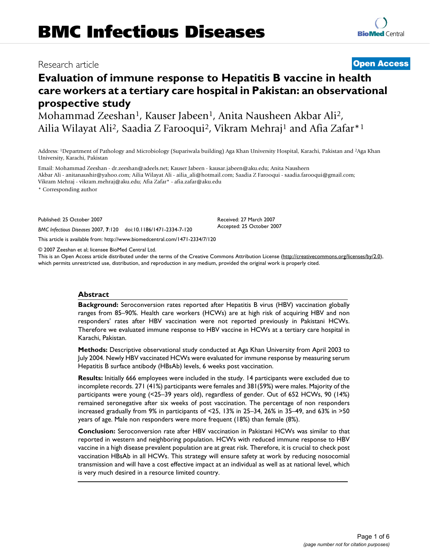# Research article **Open Access**

# **Evaluation of immune response to Hepatitis B vaccine in health care workers at a tertiary care hospital in Pakistan: an observational prospective study**

Mohammad Zeeshan<sup>1</sup>, Kauser Jabeen<sup>1</sup>, Anita Nausheen Akbar Ali<sup>2</sup>, Ailia Wilayat Ali<sup>2</sup>, Saadia Z Farooqui<sup>2</sup>, Vikram Mehraj<sup>1</sup> and Afia Zafar<sup>\*1</sup>

Address: 1Department of Pathology and Microbiology (Supariwala building) Aga Khan University Hospital, Karachi, Pakistan and 2Aga Khan University, Karachi, Pakistan

Email: Mohammad Zeeshan - dr.zeeshan@adeels.net; Kauser Jabeen - kausar.jabeen@aku.edu; Anita Nausheen Akbar Ali - anitanaushir@yahoo.com; Ailia Wilayat Ali - ailia\_ali@hotmail.com; Saadia Z Farooqui - saadia.farooqui@gmail.com; Vikram Mehraj - vikram.mehraj@aku.edu; Afia Zafar\* - afia.zafar@aku.edu

\* Corresponding author

Published: 25 October 2007

*BMC Infectious Diseases* 2007, **7**:120 doi:10.1186/1471-2334-7-120

This article is available from: http://www.biomedcentral.com/1471-2334/7/120

© 2007 Zeeshan et al; licensee BioMed Central Ltd.

This is an Open Access article distributed under the terms of the Creative Commons Attribution License (http://creativecommons.org/licenses/by/2.0), which permits unrestricted use, distribution, and reproduction in any medium, provided the original work is properly cited.

### **Abstract**

**Background:** Seroconversion rates reported after Hepatitis B virus (HBV) vaccination globally ranges from 85–90%. Health care workers (HCWs) are at high risk of acquiring HBV and non responders' rates after HBV vaccination were not reported previously in Pakistani HCWs. Therefore we evaluated immune response to HBV vaccine in HCWs at a tertiary care hospital in Karachi, Pakistan.

**Methods:** Descriptive observational study conducted at Aga Khan University from April 2003 to July 2004. Newly HBV vaccinated HCWs were evaluated for immune response by measuring serum Hepatitis B surface antibody (HBsAb) levels, 6 weeks post vaccination.

**Results:** Initially 666 employees were included in the study. 14 participants were excluded due to incomplete records. 271 (41%) participants were females and 381(59%) were males. Majority of the participants were young (<25–39 years old), regardless of gender. Out of 652 HCWs, 90 (14%) remained seronegative after six weeks of post vaccination. The percentage of non responders increased gradually from 9% in participants of <25, 13% in 25–34, 26% in 35–49, and 63% in >50 years of age. Male non responders were more frequent (18%) than female (8%).

**Conclusion:** Seroconversion rate after HBV vaccination in Pakistani HCWs was similar to that reported in western and neighboring population. HCWs with reduced immune response to HBV vaccine in a high disease prevalent population are at great risk. Therefore, it is crucial to check post vaccination HBsAb in all HCWs. This strategy will ensure safety at work by reducing nosocomial transmission and will have a cost effective impact at an individual as well as at national level, which is very much desired in a resource limited country.

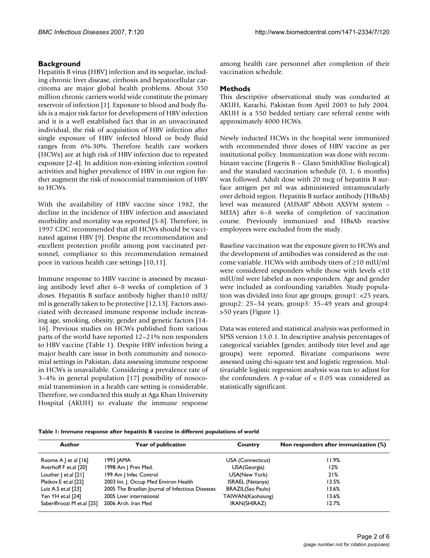# **Background**

Hepatitis B virus (HBV) infection and its sequelae, including chronic liver disease, cirrhosis and hepatocellular carcinoma are major global health problems. About 350 million chronic carriers world wide constitute the primary reservoir of infection [1]. Exposure to blood and body fluids is a major risk factor for development of HBV infection and it is a well established fact that in an unvaccinated individual, the risk of acquisition of HBV infection after single exposure of HBV infected blood or body fluid ranges from 6%-30%. Therefore health care workers (HCWs) are at high risk of HBV infection due to repeated exposure [2-4]. In addition non-existing infection control activities and higher prevalence of HBV in our region further augment the risk of nosocomial transmission of HBV to HCWs.

With the availability of HBV vaccine since 1982, the decline in the incidence of HBV infection and associated morbidity and mortality was reported [5-8]. Therefore, in 1997 CDC recommended that all HCWs should be vaccinated against HBV [9]. Despite the recommendation and excellent protection profile among post vaccinated personnel, compliance to this recommendation remained poor in various health care settings [10,11].

Immune response to HBV vaccine is assessed by measuring antibody level after 6–8 weeks of completion of 3 doses. Hepatitis B surface antibody higher than10 mIU/ ml is generally taken to be protective [12,13]. Factors associated with decreased immune response include increasing age, smoking, obesity, gender and genetic factors [14- 16]. Previous studies on HCWs published from various parts of the world have reported 12–21% non responders to HBV vaccine (Table 1). Despite HBV infection being a major health care issue in both community and nosocomial settings in Pakistan, data assessing immune response in HCWs is unavailable. Considering a prevalence rate of 3–4% in general population [17] possibility of nosocomial transmission in a health care setting is considerable. Therefore, we conducted this study at Aga Khan University Hospital (AKUH) to evaluate the immune response among health care personnel after completion of their vaccination schedule.

# **Methods**

This descriptive observational study was conducted at AKUH, Karachi, Pakistan from April 2003 to July 2004. AKUH is a 550 bedded tertiary care referral centre with approximately 4000 HCWs.

Newly inducted HCWs in the hospital were immunized with recommended three doses of HBV vaccine as per institutional policy. Immunization was done with recombinant vaccine (Engerix B – Glaxo SmithKline Biological) and the standard vaccination schedule (0, 1, 6 months) was followed. Adult dose with 20 mcg of hepatitis B surface antigen per ml was administered intramuscularly over deltoid region. Hepatitis B surface antibody (HBsAb) level was measured (AUSAB® Abbott AXSYM system – MEIA) after 6–8 weeks of completion of vaccination course. Previously immunized and HBsAb reactive employees were excluded from the study.

Baseline vaccination was the exposure given to HCWs and the development of antibodies was considered as the outcome variable. HCWs with antibody titers of  $\geq$ 10 mIU/ml were considered responders while those with levels <10 mIU/ml were labeled as non-responders. Age and gender were included as confounding variables. Study population was divided into four age groups; group1: <25 years, group2: 25–34 years, group3: 35–49 years and group4: >50 years (Figure 1).

Data was entered and statistical analysis was performed in SPSS version 13.0.1. In descriptive analysis percentages of categorical variables (gender, antibody titer level and age groups) were reported. Bivariate comparisons were assessed using chi-square test and logistic regression. Multivariable logistic regression analysis was run to adjust for the confounders. A p-value of  $< 0.05$  was considered as statistically significant.

|  |  | Table 1: Immune response after hepatitis B vaccine in different populations of world |  |
|--|--|--------------------------------------------------------------------------------------|--|
|  |  |                                                                                      |  |

| Author                                                                     | Year of publication                   | Country                  | Non responders after immunization (%) |
|----------------------------------------------------------------------------|---------------------------------------|--------------------------|---------------------------------------|
| Roome A $\vert$ et al $\vert$ 16 $\vert$                                   | 1993 JAMA                             | USA (Connecticut)        | 11.9%                                 |
| Averhoff F et.al [20]                                                      | 1998 Am   Prev Med.                   | USA(Georgia)             | 12%                                   |
| Louther   et.al [21]                                                       | 199 Am   Infec Control                | USA(New York)            | 21%                                   |
| Platkov.E et.al [22]                                                       | 2003 Int. J. Occup Med Environ Health |                          | 13.5%                                 |
| 2005 The Brazilian Journal of Infectious Diseases<br>Luiz A.S et.al $[23]$ |                                       | <b>BRAZIL(Sao Paulo)</b> | 13.6%                                 |
| Yen YH et.al [24]                                                          | 2005 Liver international              | TAIWAN(Kaohsiung)        | 13.6%                                 |
| Saberiflroozi M et.al [25]                                                 | 2006 Arch. Iran Med                   | IRAN(SHIRAZ)             | 12.7%                                 |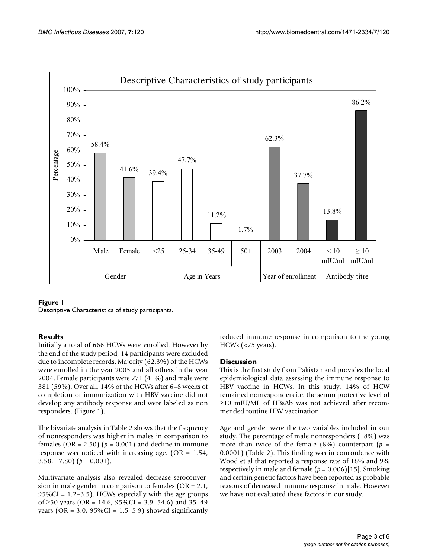

**Figure 1** Descriptive Characteristics of study participants.

# **Results**

Initially a total of 666 HCWs were enrolled. However by the end of the study period, 14 participants were excluded due to incomplete records. Majority (62.3%) of the HCWs were enrolled in the year 2003 and all others in the year 2004. Female participants were 271 (41%) and male were 381 (59%). Over all, 14% of the HCWs after 6–8 weeks of completion of immunization with HBV vaccine did not develop any antibody response and were labeled as non responders. (Figure 1).

The bivariate analysis in Table 2 shows that the frequency of nonresponders was higher in males in comparison to females ( $OR = 2.50$ ) ( $p = 0.001$ ) and decline in immune response was noticed with increasing age. (OR = 1.54, 3.58, 17.80)  $(p = 0.001)$ .

Multivariate analysis also revealed decrease seroconversion in male gender in comparison to females (OR = 2.1,  $95\%CI = 1.2 - 3.5$ . HCWs especially with the age groups of  $\geq$ 50 years (OR = 14.6, 95%CI = 3.9–54.6) and 35–49 years (OR =  $3.0$ ,  $95\%CI = 1.5-5.9$ ) showed significantly reduced immune response in comparison to the young HCWs (<25 years).

# **Discussion**

This is the first study from Pakistan and provides the local epidemiological data assessing the immune response to HBV vaccine in HCWs. In this study, 14% of HCW remained nonresponders i.e. the serum protective level of  $\geq$ 10 mIU/ML of HBsAb was not achieved after recommended routine HBV vaccination.

Age and gender were the two variables included in our study. The percentage of male nonresponders (18%) was more than twice of the female  $(8\%)$  counterpart  $(p =$ 0.0001) (Table 2). This finding was in concordance with Wood et al that reported a response rate of 18% and 9% respectively in male and female (*p* = 0.006)[15]. Smoking and certain genetic factors have been reported as probable reasons of decreased immune response in male. However we have not evaluated these factors in our study.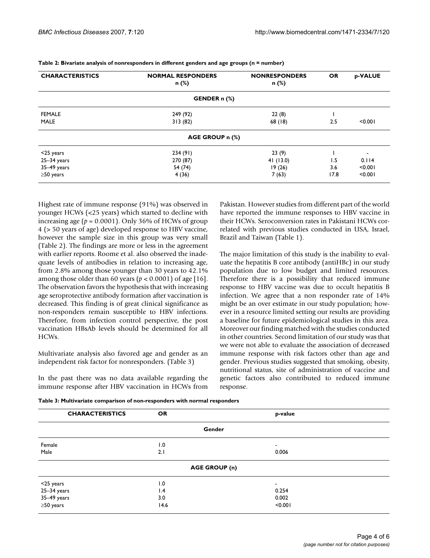| <b>CHARACTERISTICS</b> | <b>NORMAL RESPONDERS</b><br>n (%) | <b>NONRESPONDERS</b><br>n (%) | <b>OR</b> | p-VALUE |
|------------------------|-----------------------------------|-------------------------------|-----------|---------|
|                        | GENDER n (%)                      |                               |           |         |
| <b>FEMALE</b>          | 249 (92)                          | 22(8)                         |           |         |
| <b>MALE</b>            | 313(82)                           | 68 (18)                       | 2.5       | < 0.001 |
|                        | AGE GROUP n (%)                   |                               |           |         |
| $<$ 25 years           | 234 (91)                          | 23(9)                         |           |         |
| $25 - 34$ years        | 270 (87)                          | 41(13.0)                      | 1.5       | 0.114   |
| $35-49$ years          | 54 (74)                           | 19(26)                        | 3.6       | < 0.001 |
| $\geq$ 50 years        | 4(36)                             | 7(63)                         | 17.8      | < 0.001 |

**Table 2: Bivariate analysis of nonresponders in different genders and age groups (n = number)**

Highest rate of immune response (91%) was observed in younger HCWs (<25 years) which started to decline with increasing age ( $p = 0.0001$ ). Only 36% of HCWs of group 4 (> 50 years of age) developed response to HBV vaccine, however the sample size in this group was very small (Table 2). The findings are more or less in the agreement with earlier reports. Roome et al. also observed the inadequate levels of antibodies in relation to increasing age, from 2.8% among those younger than 30 years to 42.1% among those older than 60 years ( $p < 0.0001$ ) of age [16]. The observation favors the hypothesis that with increasing age seroprotective antibody formation after vaccination is decreased. This finding is of great clinical significance as non-responders remain susceptible to HBV infections. Therefore, from infection control perspective, the post vaccination HBsAb levels should be determined for all HCWs.

Multivariate analysis also favored age and gender as an independent risk factor for nonresponders. (Table 3)

In the past there was no data available regarding the immune response after HBV vaccination in HCWs from

Pakistan. However studies from different part of the world have reported the immune responses to HBV vaccine in their HCWs. Seroconversion rates in Pakistani HCWs correlated with previous studies conducted in USA, Israel, Brazil and Taiwan (Table 1).

The major limitation of this study is the inability to evaluate the hepatitis B core antibody (antiHBc) in our study population due to low budget and limited resources. Therefore there is a possibility that reduced immune response to HBV vaccine was due to occult hepatitis B infection. We agree that a non responder rate of 14% might be an over estimate in our study population; however in a resource limited setting our results are providing a baseline for future epidemiological studies in this area. Moreover our finding matched with the studies conducted in other countries. Second limitation of our study was that we were not able to evaluate the association of decreased immune response with risk factors other than age and gender. Previous studies suggested that smoking, obesity, nutritional status, site of administration of vaccine and genetic factors also contributed to reduced immune response.

|  |  |  |  | Table 3: Multivariate comparison of non-responders with normal responders |  |  |
|--|--|--|--|---------------------------------------------------------------------------|--|--|
|--|--|--|--|---------------------------------------------------------------------------|--|--|

| <b>CHARACTERISTICS</b> | <b>OR</b> | p-value                  |
|------------------------|-----------|--------------------------|
|                        |           | Gender                   |
| Female                 | 1.0       | $\overline{\phantom{a}}$ |
| Male                   | 2.1       | 0.006                    |
|                        |           | <b>AGE GROUP (n)</b>     |
| $<$ 25 years           | 1.0       | $\overline{\phantom{a}}$ |
| $25 - 34$ years        | 1.4       | 0.254                    |
| 35-49 years            | 3.0       | 0.002                    |
| $\geq$ 50 years        | 14.6      | < 0.001                  |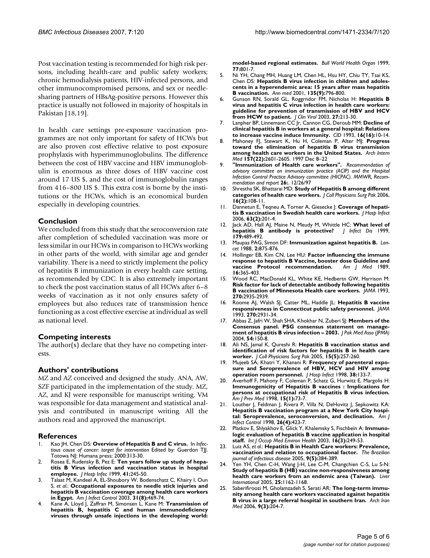Post vaccination testing is recommended for high risk persons, including health-care and public safety workers; chronic hemodialysis patients, HIV-infected persons, and other immunocompromised persons, and sex or needlesharing partners of HBsAg-positive persons. However this practice is usually not followed in majority of hospitals in Pakistan [18,19].

In health care settings pre-exposure vaccination programmes are not only important for safety of HCWs but are also proven cost effective relative to post exposure prophylaxis with hyperimmunoglobulins. The difference between the cost of HBV vaccine and HBV immunoglobulin is enormous as three doses of HBV vaccine cost around 17 US \$, and the cost of immunoglobulin ranges from 416–800 US \$. This extra cost is borne by the institutions or the HCWs, which is an economical burden especially in developing countries.

# **Conclusion**

We concluded from this study that the seroconversion rate after completion of scheduled vaccination was more or less similar in our HCWs in comparison to HCWs working in other parts of the world, with similar age and gender variability. There is a need to strictly implement the policy of hepatitis B immunization in every health care setting, as recommended by CDC. It is also extremely important to check the post vaccination status of all HCWs after 6–8 weeks of vaccination as it not only ensures safety of employees but also reduces rate of transmission hence functioning as a cost effective exercise at individual as well as national level.

### **Competing interests**

The author(s) declare that they have no competing interests.

### **Authors' contributions**

MZ and AZ conceived and designed the study. ANA, AW, SZF participated in the implementation of the study. MZ, AZ, and KJ were responsible for manuscript writing. VM was responsible for data management and statistical analysis and contributed in manuscript writing. All the authors read and approved the manuscript.

# **References**

- Kao JH, Chen DS: Overview of Hepatitis B and C virus. In *Infectious cause of cancer: target for intervention* Edited by: Guerdon TJJ. Totowa NJ: Humana press; 2000:313-30.
- 2. Rosea E, Rudensky B, Pez E: **Ten years follow up study of hepatitis B Virus infection and vaccination status in hospital employee.** *J Hosp Infec* 1999, **41:**245-50.
- 3. Talaat M, Kandeel A, EL-Shoubory W, Bodenschatz C, Khairy I, Oun S, *et al.*: **Occupational exposures to needle stick injuries and hepatitis B vaccination coverage among health care workers in Egypt.** *Am J Infect Control* 2003, **31(8):**469-74.
- 4. Kane A, Lloyd J, Zaffran M, Simonsen L, Kane M: **Transmission of hepatitis B, hepatitis C and human immunodeficiency viruses through unsafe injections in the developing world:**

**model-based regional estimates.** *Bull World Health Organ* 1999, **77:**801-7.

- 5. Ni YH, Chang MH, Huang LM, Chen HL, Hsu HY, Chiu TY, Tsai KS, Chen DS: **Hepatitis B virus infection in children and adolescents in a hyperendemic area: 15 years after mass hepatitis B vaccination.** *Ann med* 2001, **135(9):**796-800.
- 6. Gunson RN, Sorald GL, Roggrndor FM, Nicholas H: **Hepatitis B virus and hepatitis C virus infection in health care workers: guideline for prevention of transmission of HBV and HCV from HCW to patient.** *J Clin Virol* 2003, **27:**213-30.
- 7. Lanpher BP, Linnemann CC Jr, Cannon CG, Deroub MM: **Decline of clinical hepatitis B in workers at a general hospital: Relations to increase vaccine induce Immunity.** *CID* 1993, **16(16):**10-14.
- 8. Mahoney FJ, Stewart K, Hu H, Coleman P, Alter MJ: **Progress toward the elimination of hepatitis B virus transmission among health care workers in the United States.** *Arch Intern Med* **157(22):**2601-2605. 1997 Dec 8–22
- 9. **"Immunization of Health care workers".** *Recommendation of advisory committee on immunization practice (ACIP) and the Hospital Infection Control Practice Advisory committee (HICPAC). MMWR, Recommendation and report* **26:**. 12/26/97
- 10. Shrestha SK, Bhattarai MD: **Study of Hepatitis B among different categories of health care workers.** *J Coll Physicians Surg Pak* 2006, **16(2):**108-11.
- 11. Dannetun E, Teqneu A, Torner A, Giesecke J: **Coverage of hepatitis B vaccination in Swedish health care workers.** *J Hosp Infect* 2006, **63(2):**201-4.
- 12. Jack AD, Hall AJ, Maine N, Meudy M, Whittle HC: **What level of hepatitis B antibody is protective?** *J Infect Dis* 1999, **179:**489-492.
- 13. Maupas PAG, Simon DF: **Immunization against hepatitis B.** *Lancet* 1988, **2:**875-876.
- 14. Hollinger EB, Kim CN, Lee HU: **Factor influencing the immune response to hepatitis B Vaccine, booster dose Guideline and vaccine Protocol recommendation.** *Am J Med* 1989, **16:**365-403.
- 15. Wood RC, MacDonald KL, White KE, Hedbertn GW, Harrison M: **Risk factor for lack of detectable antibody following hepatitis B vaccination of Minnesota Health care workers.** *JAMA* 1993, **270:**2935-2939.
- 16. Roome AJ, Walsh SJ, Catter ML, Haddle JL: **Hepatitis B vaccine responsiveness in Connecticut public safety personnel.** *JAMA* 1993, **270:**2931-34.
- 17. Abbas Z, Jafri W, Shah SHA, Khokhar N, Zuberi SJ: **Members of the Consensus panel. PSG consensus statement on management of hepatitis B virus infection – 2003.** *J Pak Med Asso (JPMA)* 2004, **54:**150-8.
- 18. Ali NS, Jamal K, Qureshi R: **Hepatitis B vaccination status and identification of risk factors for hepatitis B in health care worker.** *J Coll Physicians Surg Pak* 2005, **15(5):**257-260.
- 19. Mujeeb SA, Khatri Y, Khanani R: **Frequency of parenteral exposure and Seroprevalence of HBV, HCV and HIV among operation room personnel.** *J Hosp Infect* 1998, **38:**133-7.
- 20. Averhoff F, Mahony F, Coleman P, Schatz G, Hurwitz E, Margolis H: **Immunogenicity of Hepatitis B vaccines : Implications for persons at occupational risk of Hepatitis B virus infection.** *Am J Prev Med* 1998, **15(1):**73-7.
- 21. Louther J, Feldman J, Rivera P, Villa N, DeHovitz J, Sepkowitz KA: **Hepatitis B vaccination program at a New York City hospital: Seroprevalence, seroconversion, and declination.** *Am J Infect Control* 1998, **26(4):**423-7.
- 22. Platkov E, Shlyakhov E, Glick Y, Khalemsky S, Fischbein A: **Immunologic evaluation of hepatitis B vaccine application in hospital staff.** *Int J Occup Med Environ Health* 2003, **16(3):**249-53.
- 23. Luiz AS, *et al.*: **Hepatitis B in Health Care workers: Prevalence, vaccination and relation to occupational factor.** *The Brazilian journal of infectious disease* 2005, **9(5):**384-389.
- 24. Yen YH, Chen C-H, Wang J-H, Lee C-M, Changchien C-S, Lu S-N: **Study of hepatitis B (HB) vaccine non-responsiveness among health care workers from an endemic area (Taiwan).** *Liver International* 2005, **25:**1162-1168.
- 25. Saberifiroozi M, Gholamzadeh S, Serati AR: **The long-term immunity among health care workers vaccinated against hepatitis B virus in a large referral hospital in southern Iran.** *Arch Iran Med* 2006, **9(3):**204-7.